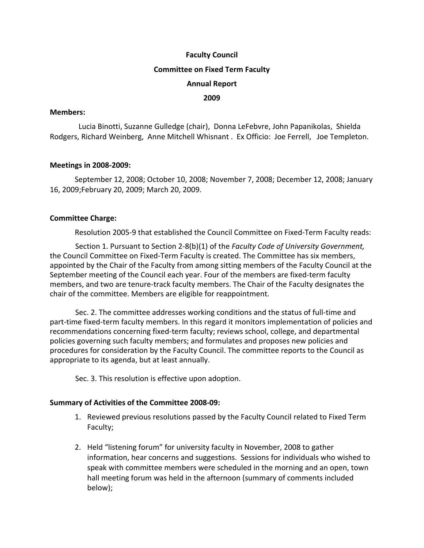### **Faculty Council**

#### **Committee on Fixed Term Faculty**

### **Annual Report**

### **2009**

#### **Members:**

 Lucia Binotti, Suzanne Gulledge (chair), Donna LeFebvre, John Papanikolas, Shielda Rodgers, Richard Weinberg, Anne Mitchell Whisnant . Ex Officio: Joe Ferrell, Joe Templeton.

### **Meetings in 2008‐2009:**

September 12, 2008; October 10, 2008; November 7, 2008; December 12, 2008; January 16, 2009;February 20, 2009; March 20, 2009.

### **Committee Charge:**

Resolution 2005-9 that established the Council Committee on Fixed-Term Faculty reads:

Section 1. Pursuant to Section 2‐8(b)(1) of the *Faculty Code of University Government,* the Council Committee on Fixed‐Term Faculty is created. The Committee has six members, appointed by the Chair of the Faculty from among sitting members of the Faculty Council at the September meeting of the Council each year. Four of the members are fixed‐term faculty members, and two are tenure‐track faculty members. The Chair of the Faculty designates the chair of the committee. Members are eligible for reappointment.

Sec. 2. The committee addresses working conditions and the status of full-time and part-time fixed-term faculty members. In this regard it monitors implementation of policies and recommendations concerning fixed‐term faculty; reviews school, college, and departmental policies governing such faculty members; and formulates and proposes new policies and procedures for consideration by the Faculty Council. The committee reports to the Council as appropriate to its agenda, but at least annually.

Sec. 3. This resolution is effective upon adoption.

#### **Summary of Activities of the Committee 2008‐09:**

- 1. Reviewed previous resolutions passed by the Faculty Council related to Fixed Term Faculty;
- 2. Held "listening forum" for university faculty in November, 2008 to gather information, hear concerns and suggestions. Sessions for individuals who wished to speak with committee members were scheduled in the morning and an open, town hall meeting forum was held in the afternoon (summary of comments included below);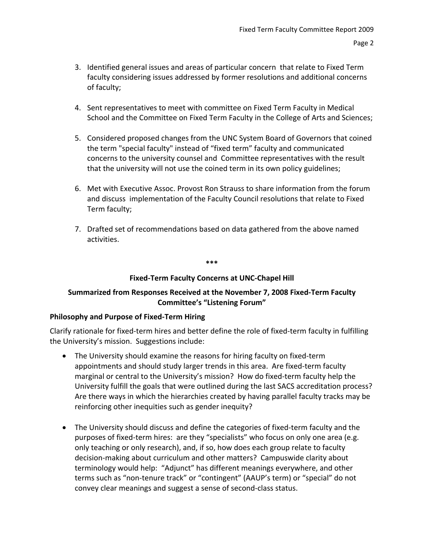- 3. Identified general issues and areas of particular concern that relate to Fixed Term faculty considering issues addressed by former resolutions and additional concerns of faculty;
- 4. Sent representatives to meet with committee on Fixed Term Faculty in Medical School and the Committee on Fixed Term Faculty in the College of Arts and Sciences;
- 5. Considered proposed changes from the UNC System Board of Governors that coined the term "special faculty" instead of "fixed term" faculty and communicated concerns to the university counsel and Committee representatives with the result that the university will not use the coined term in its own policy guidelines;
- 6. Met with Executive Assoc. Provost Ron Strauss to share information from the forum and discuss implementation of the Faculty Council resolutions that relate to Fixed Term faculty;
- 7. Drafted set of recommendations based on data gathered from the above named activities.

**\*\*\***

## **Fixed‐Term Faculty Concerns at UNC‐Chapel Hill**

## **Summarized from Responses Received at the November 7, 2008 Fixed‐Term Faculty Committee's "Listening Forum"**

## **Philosophy and Purpose of Fixed‐Term Hiring**

Clarify rationale for fixed‐term hires and better define the role of fixed‐term faculty in fulfilling the University's mission. Suggestions include:

- The University should examine the reasons for hiring faculty on fixed-term appointments and should study larger trends in this area. Are fixed‐term faculty marginal or central to the University's mission? How do fixed‐term faculty help the University fulfill the goals that were outlined during the last SACS accreditation process? Are there ways in which the hierarchies created by having parallel faculty tracks may be reinforcing other inequities such as gender inequity?
- The University should discuss and define the categories of fixed-term faculty and the purposes of fixed-term hires: are they "specialists" who focus on only one area (e.g. only teaching or only research), and, if so, how does each group relate to faculty decision‐making about curriculum and other matters? Campuswide clarity about terminology would help: "Adjunct" has different meanings everywhere, and other terms such as "non‐tenure track" or "contingent" (AAUP's term) or "special" do not convey clear meanings and suggest a sense of second‐class status.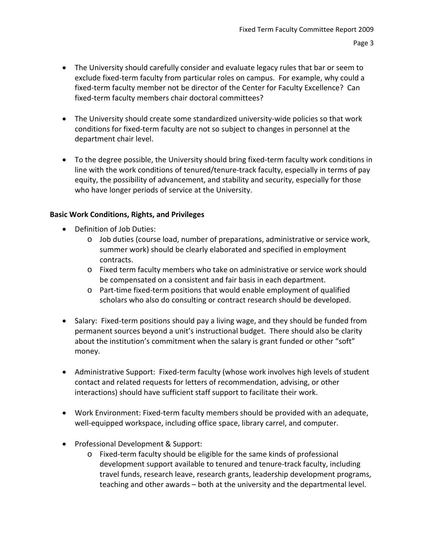- The University should carefully consider and evaluate legacy rules that bar or seem to exclude fixed‐term faculty from particular roles on campus. For example, why could a fixed-term faculty member not be director of the Center for Faculty Excellence? Can fixed-term faculty members chair doctoral committees?
- The University should create some standardized university‐wide policies so that work conditions for fixed‐term faculty are not so subject to changes in personnel at the department chair level.
- To the degree possible, the University should bring fixed‐term faculty work conditions in line with the work conditions of tenured/tenure‐track faculty, especially in terms of pay equity, the possibility of advancement, and stability and security, especially for those who have longer periods of service at the University.

# **Basic Work Conditions, Rights, and Privileges**

- Definition of Job Duties:
	- o Job duties (course load, number of preparations, administrative or service work, summer work) should be clearly elaborated and specified in employment contracts.
	- o Fixed term faculty members who take on administrative or service work should be compensated on a consistent and fair basis in each department.
	- o Part‐time fixed‐term positions that would enable employment of qualified scholars who also do consulting or contract research should be developed.
- Salary: Fixed-term positions should pay a living wage, and they should be funded from permanent sources beyond a unit's instructional budget. There should also be clarity about the institution's commitment when the salary is grant funded or other "soft" money.
- Administrative Support: Fixed-term faculty (whose work involves high levels of student contact and related requests for letters of recommendation, advising, or other interactions) should have sufficient staff support to facilitate their work.
- Work Environment: Fixed‐term faculty members should be provided with an adequate, well-equipped workspace, including office space, library carrel, and computer.
- Professional Development & Support:
	- o Fixed‐term faculty should be eligible for the same kinds of professional development support available to tenured and tenure‐track faculty, including travel funds, research leave, research grants, leadership development programs, teaching and other awards – both at the university and the departmental level.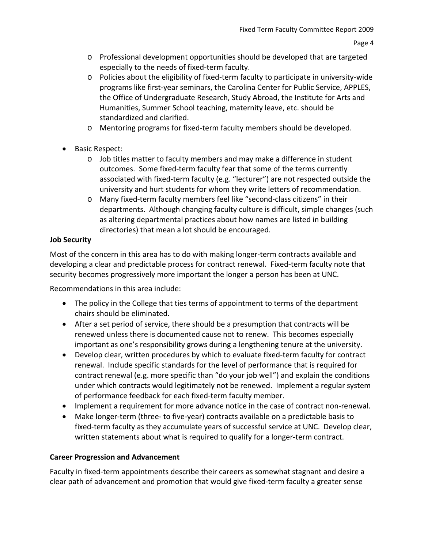- o Professional development opportunities should be developed that are targeted especially to the needs of fixed‐term faculty.
- o Policies about the eligibility of fixed‐term faculty to participate in university‐wide programs like first‐year seminars, the Carolina Center for Public Service, APPLES, the Office of Undergraduate Research, Study Abroad, the Institute for Arts and Humanities, Summer School teaching, maternity leave, etc. should be standardized and clarified.
- o Mentoring programs for fixed‐term faculty members should be developed.
- Basic Respect:
	- o Job titles matter to faculty members and may make a difference in student outcomes. Some fixed-term faculty fear that some of the terms currently associated with fixed‐term faculty (e.g. "lecturer") are not respected outside the university and hurt students for whom they write letters of recommendation.
	- o Many fixed‐term faculty members feel like "second‐class citizens" in their departments. Although changing faculty culture is difficult, simple changes (such as altering departmental practices about how names are listed in building directories) that mean a lot should be encouraged.

# **Job Security**

Most of the concern in this area has to do with making longer-term contracts available and developing a clear and predictable process for contract renewal. Fixed-term faculty note that security becomes progressively more important the longer a person has been at UNC.

Recommendations in this area include:

- The policy in the College that ties terms of appointment to terms of the department chairs should be eliminated.
- After a set period of service, there should be a presumption that contracts will be renewed unless there is documented cause not to renew. This becomes especially important as one's responsibility grows during a lengthening tenure at the university.
- Develop clear, written procedures by which to evaluate fixed-term faculty for contract renewal. Include specific standards for the level of performance that is required for contract renewal (e.g. more specific than "do your job well") and explain the conditions under which contracts would legitimately not be renewed. Implement a regular system of performance feedback for each fixed-term faculty member.
- Implement a requirement for more advance notice in the case of contract non-renewal.
- Make longer‐term (three‐ to five‐year) contracts available on a predictable basis to fixed-term faculty as they accumulate years of successful service at UNC. Develop clear, written statements about what is required to qualify for a longer-term contract.

# **Career Progression and Advancement**

Faculty in fixed-term appointments describe their careers as somewhat stagnant and desire a clear path of advancement and promotion that would give fixed‐term faculty a greater sense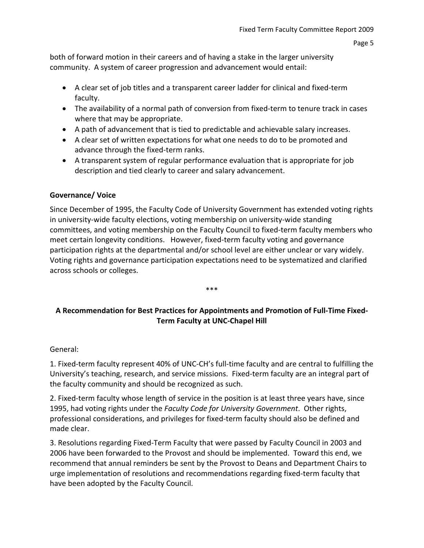both of forward motion in their careers and of having a stake in the larger university community. A system of career progression and advancement would entail:

- A clear set of job titles and a transparent career ladder for clinical and fixed-term faculty.
- The availability of a normal path of conversion from fixed-term to tenure track in cases where that may be appropriate.
- A path of advancement that is tied to predictable and achievable salary increases.
- A clear set of written expectations for what one needs to do to be promoted and advance through the fixed‐term ranks.
- A transparent system of regular performance evaluation that is appropriate for job description and tied clearly to career and salary advancement.

## **Governance/ Voice**

Since December of 1995, the Faculty Code of University Government has extended voting rights in university-wide faculty elections, voting membership on university-wide standing committees, and voting membership on the Faculty Council to fixed‐term faculty members who meet certain longevity conditions. However, fixed-term faculty voting and governance participation rights at the departmental and/or school level are either unclear or vary widely. Voting rights and governance participation expectations need to be systematized and clarified across schools or colleges.

# **A Recommendation for Best Practices for Appointments and Promotion of Full‐Time Fixed‐ Term Faculty at UNC‐Chapel Hill**

\*\*\*

### General:

1. Fixed‐term faculty represent 40% of UNC‐CH's full‐time faculty and are central to fulfilling the University's teaching, research, and service missions. Fixed‐term faculty are an integral part of the faculty community and should be recognized as such.

2. Fixed‐term faculty whose length of service in the position is at least three years have, since 1995, had voting rights under the *Faculty Code for University Government*. Other rights, professional considerations, and privileges for fixed‐term faculty should also be defined and made clear.

3. Resolutions regarding Fixed‐Term Faculty that were passed by Faculty Council in 2003 and 2006 have been forwarded to the Provost and should be implemented. Toward this end, we recommend that annual reminders be sent by the Provost to Deans and Department Chairs to urge implementation of resolutions and recommendations regarding fixed‐term faculty that have been adopted by the Faculty Council.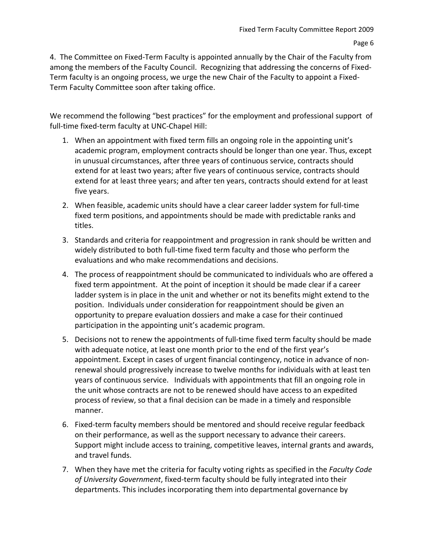4. The Committee on Fixed‐Term Faculty is appointed annually by the Chair of the Faculty from among the members of the Faculty Council. Recognizing that addressing the concerns of Fixed‐ Term faculty is an ongoing process, we urge the new Chair of the Faculty to appoint a Fixed‐ Term Faculty Committee soon after taking office.

We recommend the following "best practices" for the employment and professional support of full-time fixed-term faculty at UNC-Chapel Hill:

- 1. When an appointment with fixed term fills an ongoing role in the appointing unit's academic program, employment contracts should be longer than one year. Thus, except in unusual circumstances, after three years of continuous service, contracts should extend for at least two years; after five years of continuous service, contracts should extend for at least three years; and after ten years, contracts should extend for at least five years.
- 2. When feasible, academic units should have a clear career ladder system for full-time fixed term positions, and appointments should be made with predictable ranks and titles.
- 3. Standards and criteria for reappointment and progression in rank should be written and widely distributed to both full-time fixed term faculty and those who perform the evaluations and who make recommendations and decisions.
- 4. The process of reappointment should be communicated to individuals who are offered a fixed term appointment. At the point of inception it should be made clear if a career ladder system is in place in the unit and whether or not its benefits might extend to the position. Individuals under consideration for reappointment should be given an opportunity to prepare evaluation dossiers and make a case for their continued participation in the appointing unit's academic program.
- 5. Decisions not to renew the appointments of full-time fixed term faculty should be made with adequate notice, at least one month prior to the end of the first year's appointment. Except in cases of urgent financial contingency, notice in advance of non‐ renewal should progressively increase to twelve months for individuals with at least ten years of continuous service. Individuals with appointments that fill an ongoing role in the unit whose contracts are not to be renewed should have access to an expedited process of review, so that a final decision can be made in a timely and responsible manner.
- 6. Fixed‐term faculty members should be mentored and should receive regular feedback on their performance, as well as the support necessary to advance their careers. Support might include access to training, competitive leaves, internal grants and awards, and travel funds.
- 7. When they have met the criteria for faculty voting rights as specified in the *Faculty Code of University Government*, fixed‐term faculty should be fully integrated into their departments. This includes incorporating them into departmental governance by